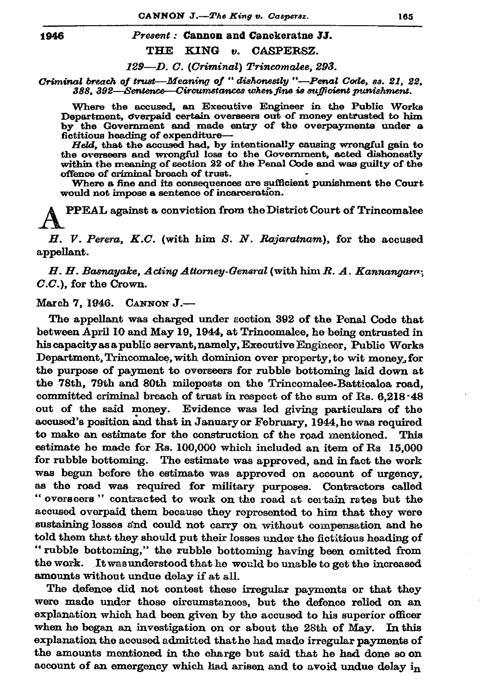1946

## Present: Cannon and Canckeratne JJ.

## THE KING v. CASPERSZ.

129-D. C. (Criminal) Trincomalee, 293.

Criminal breach of trust—Meaning of "dishonestly "—Penal Code, ss. 21, 22. 388, 392—Sentence—Circumstances when fine is sufficient punishment.

Where the accused, an Executive Engineer in the Public Works Department, overpaid certain overseers out of money entrusted to him by the Government and made entry of the overpayments under a fictitious heading of expenditure-

Held, that the accused had, by intentionally causing wrongful gain to the overseers and wrongful loss to the Government, acted dishonestly within the meaning of section 22 of the Penal Code and was guilty of the offence of criminal breach of trust.

Where a fine and its consequences are sufficient punishment the Court would not impose a sentence of incarceration.

PPEAL against a conviction from the District Court of Trincomalee

H. V. Perera, K.C. (with him S. N. Rajaratnam), for the accused appellant.

 $H, H,$  Basnavake, Acting Attorney-General (with him  $R, A$ , Kannangara;  $C.C.$ ), for the Crown.

March 7, 1946. CANNON J.-

The appellant was charged under section 392 of the Penal Code that between April 10 and May 19, 1944, at Trincomalee, he being entrusted in his capacity as a public servant, namely, Executive Engineer, Public Works Department, Trincomalee, with dominion over property, to wit money, for the purpose of payment to overseers for rubble bottoming laid down at the 78th, 79th and 80th mileposts on the Trincomalee-Batticaloa road, committed criminal breach of trust in respect of the sum of Rs. 6,218.48 out of the said money. Evidence was led giving particulars of the accused's position and that in January or February, 1944, he was required to make an estimate for the construction of the road mentioned. This estimate he made for Rs. 100,000 which included an item of Rs 15,000 for rubble bottoming. The estimate was approved, and in fact the work was begun before the estimate was approved on account of urgency, as the road was required for military purposes. Contractors called "overseers" contracted to work on the road at certain rates but the accused overpaid them because they represented to him that they were sustaining losses and could not carry on without compensation and he told them that they should put their losses under the fictitious heading of "rubble bottoming," the rubble bottoming having been omitted from the work. It was understood that he would be unable to get the increased amounts without undue delay if at all.

The defence did not contest these irregular payments or that they were made under those circumstances, but the defence relied on an explanation which had been given by the accused to his superior officer when he began an investigation on or about the 28th of May. In this explanation the accused admitted that he had made irregular payments of the amounts mentioned in the charge but said that he had done so on account of an emergency which had arisen and to avoid undue delay  $i_n$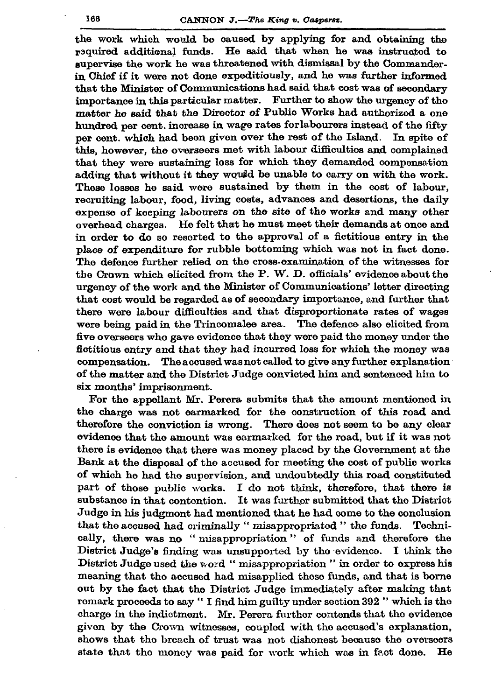the work which would be caused by applying for and obtaining the required additional funds. He said that when he was instructed to supervise the work he was threatened with dismissal by the Commanderin Chief if it were not done expeditiously, and he was further informed that the Minister of Communications had said that cost was of secondary importance in this particular matter. Further to show the urgency of the matter he said that the Director of Public Works had authorized a one hundred per cent. increase in wage rates for labourers instead of the fifty per cent. which had been given over the rest of the Island. In spite of this, however, the overseers met with labour difficulties and complained that they were sustaining loss for which they demanded compensation adding that without it they would be unable to carry on with the work. These losses he said were sustained by them in the cost of labour. recruiting labour, food, living costs, advances and desertions, the daily expense of keeping labourers on the site of the works and many other overhead charges. He felt that he must meet their demands at once and in order to do so resorted to the approval of a fictitious entry in the place of expenditure for rubble bottoming which was not in fact done. The defence further relied on the cross-examination of the witnesses for the Crown which elicited from the P. W. D. officials' evidence about the urgency of the work and the Minister of Communications' letter directing that cost would be regarded as of secondary importance, and further that there were labour difficulties and that disproportionate rates of wages were being paid in the Trincomalee area. The defence also elicited from five overseers who gave evidence that they were paid the money under the fictitious entry and that they had incurred loss for which the money was compensation. The accused was not called to give any further explanation of the matter and the District Judge convicted him and sentenced him to six months' imprisonment.

For the appellant Mr. Perera submits that the amount mentioned in the charge was not earmarked for the construction of this road and therefore the conviction is wrong. There does not seem to be any clear evidence that the amount was earmarked for the road, but if it was not there is evidence that there was money placed by the Government at the Bank at the disposal of the accused for meeting the cost of public works of which he had the supervision, and undoubtedly this road constituted part of those public works. I do not think, therefore, that there is substance in that contontion. It was further submitted that the District Judge in his judgmont had mentioned that he had come to the conclusion that the accused had criminally "misappropriated" the funds. Technically, there was no "nisappropriation" of funds and therefore the District Judge's finding was unsupported by the evidence. I think the District Judge used the word "misappropriation" in order to express his meaning that the accused had misapplied those funds, and that is borne out by the fact that the District Judge immediately after making that romark proceeds to say " I find him guilty under section 392 " which is the charge in the indictment. Mr. Perera further contends that the evidence givon by the Crown witnesses, coupled with the accused's explanation, shows that the breach of trust was not dishonest because the overseers state that the money was paid for work which was in fact done. He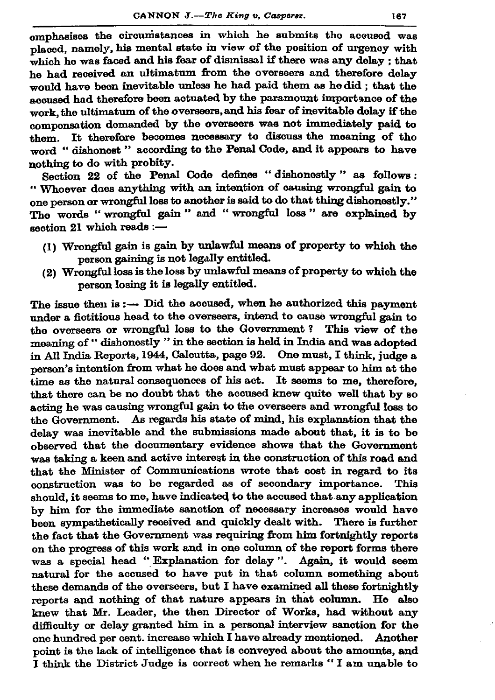omphasises the circumstances in which he submits the accused was placed, namely, his mental state in view of the position of urgency with which he was faced and his fear of dismissal if there was any delay : that he had received an ultimatum from the overseers and therefore delay would have been inevitable unless he had paid them as hedid : that the accused had therefore been actuated by the paramount importance of the work the ultimatum of the overseers, and his fear of inevitable dolay if the componsation domanded by the overseers was not immediately paid to them. It therefore becomes necessary to discuss the meaning of tho word "dishonest" according to the Penal Code, and it appears to have nothing to do with probity.

Section 22 of the Penal Code defines "dishonestly" as follows: "Whoever does anything with an intention of causing wrongful gain to one person or wrongful loss to another is said to do that thing dishonestly." The words "wrongful gain" and "wrongful loss" are explained by section 21 which reads :-

- (1) Wrongful gain is gain by unlawful means of property to which the person gaining is not legally entitled.
- (2) Wrongful loss is the loss by unlawful means of property to which the nerson losing it is legally entitled.

The issue then is  $:$   $\rightarrow$  Did the accused, when he authorized this payment under a fictitious head to the overseers, intend to cause wrongful gain to the overseers or wrongful loss to the Government? This view of the meaning of "dishonestly " in the section is held in India and was adopted in All India Reports, 1944, Calcutta, page 92. One must, I think, judge a person's intention from what he does and what must appear to him at the time as the natural consequences of his act. It seems to me, therefore. that there can be no doubt that the accused knew quite well that by so acting he was causing wrongful gain to the overseers and wrongful loss to the Government. As regards his state of mind, his explanation that the delay was inevitable and the submissions made about that, it is to be observed that the documentary evidence shows that the Government was taking a keen and active interest in the construction of this road and that the Minister of Communications wrote that cost in regard to its construction was to be regarded as of secondary importance. This should, it seems to me, have indicated to the accused that any application by him for the immediate sanction of necessary increases would have been sympathetically received and quickly dealt with. There is further the fact that the Government was requiring from him fortnightly reports on the progress of this work and in one column of the report forms there was a special head "Explanation for delay". Again, it would seem natural for the accused to have put in that column something about these demands of the overseers, but I have examined all these fortnightly reports and nothing of that nature appears in that column. He also knew that Mr. Leader, the then Director of Works, had without any difficulty or delay granted him in a personal interview sanction for the one hundred per cent. increase which I have already mentioned. Another point is the lack of intelligence that is conveyed about the amounts. and I think the District Judge is correct when he remarks "I am unable to